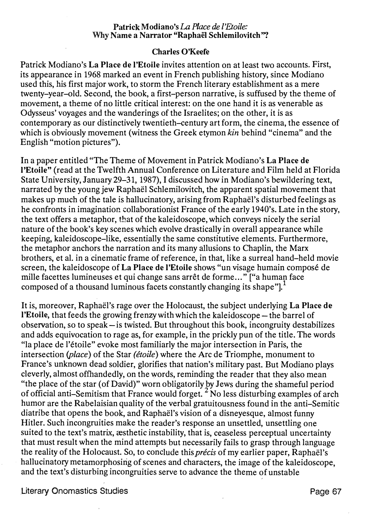## Patrick Modiano's La Place de l'Etoile: Why Name a Narrator "Raphaël Schlemilovitch"?

## Charles O'Keefe

Patrick Modiano's La Place de l'Etoile invites attention on at least two accounts. First, its appearance in 1968 marked an event in French publishing history, since Modiano used this, his first major work, to storm the French literary establishment as a mere twenty-year-old. Second, the book, a first-person narrative, is suffused by the theme of movement, a theme of no little critical interest: on the one hand it is as venerable as Odysseus' voyages and the wanderings of the Israelites; on the other, it is as contemporary as our distinctively twentieth-century art form, the cinema, the essence of which is obviously movement (witness the Greek etymon kin behind "cinema" and the English "motion pictures").

In a paper entitled "The Theme of Movement in Patrick Modiano's La Place de l'Etoile" (read at the Twelfth Annual Conference on Literature and Film held at Florida State University, January 29-31, 1987), I discussed how in Modiano's bewildering text, narrated by the young jew Raphael Schlemilovitch, the apparent spatial movement that makes up much of the tale is hallucinatory, arising from Raphael's disturbed feelings as he confronts in imagination collaborationist France of the early 1940's. Late in the story, the text offers a metaphor, that of the kaleidoscope, which conveys nicely the serial nature of the book's key scenes which evolve drastically in overall appearance while keeping, kaleidoscope-like, essentially the same constitutive elements. Furthermore, the metaphor anchors the narration and its many allusions to Chaplin, the Marx brothers, et al. in a cinematic frame of reference, in that, like a surreal hand-held movie screen, the kaleidoscope of La Place de !'Etoile shows "un visage humain compose de mille facettes lumineuses et qui change sans arrêt de forme..." ["a human face composed of a thousand luminous facets constantly changing its shape"].<sup>1</sup>

It is, moreover, Raphael's rage over the Holocaust, the subject underlying La Place de !'Etoile, that feeds the growing frenzy with which the kaleidoscope- the barrel of observation, so to speak-is twisted. But throughout this book, incongruity destabilizes and adds equivocation to rage as, for example, in the prickly pun of the title. The words "la place de l'étoile" evoke most familiarly the major intersection in Paris, the intersection (place) of the Star (étoile) where the Arc de Triomphe, monument to France's unknown dead soldier, glorifies that nation's military past. But Modiano plays cleverly, almost offhandedly, on the words, reminding the reader that they also mean "the place of the star (of David)" worn obligatorily by Jews during the shameful period of official anti-Semitism that France would forget.  $2^{2}$  No less disturbing examples of arch humor are the Rabelaisian quality of the verbal gratuitousness found in the anti-Semitic diatribe that opens the book, and Raphael's vision of a disneyesque, almost funny Hitler. Such incongruities make the reader's response an unsettled, unsettling one suited to the text's matrix, *assihetic* instability, that is, ceaseless perceptual uncertainty that must result when the mind attempts but necessarily fails to grasp through language the reality of the Holocaust. So, to conclude this *précis* of my earlier paper, Raphaël's hallucinatory metamorphosing of scenes and characters, the image of the kaleidoscope, and the text's disturbing incongruities serve to advance the theme of unstable

Literary Onomastics Studies **Page 67**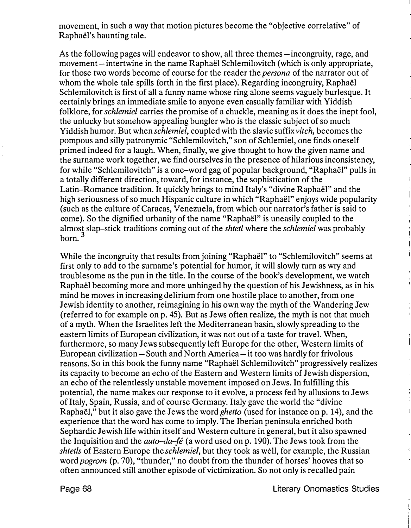movement, in such a way that motion pictures become the "objective correlative" of Raphael's haunting tale.

As the following pages will endeavor to show, all three themes-incongruity, rage, and movement-intertwine in the name Raphaël Schlemilovitch (which is only appropriate, for those two words become of course for the reader the persona of the narrator out of whom the whole tale spills forth in the first place). Regarding incongruity, Raphael Schlemilovitch is first of all a funny name whose ring alone seems vaguely burlesque. It certainly brings an immediate smile to anyone even casually familiar with Yiddish folklore, for schlemiel carries the promise of a chuckle, meaning as it does the inept fool, the unlucky but somehow appealing bungler who is the classic subject of so much Yiddish humor. But when schlemiel, coupled with the slavic suffix vitch, becomes the pompous and silly patronymic "Schlemilovitch," son of Schlemiel, one finds oneself primed indeed for a laugh. When, finally, we give thought to how the given name and the surname work together, we find ourselves in the presence of hilarious inconsistency, for while "Schlemilovitch" is a one-word gag of popular background, "Raphael" pulls in a totally different direction, toward, for instance, the sophistication of the Latin-Romance tradition. It quickly brings to mind Italy's "divine Raphael" and the high seriousness of so much Hispanic culture in which "Raphael" enjoys wide popularity (such as the culture of Caracas, Venezuela, from which our narrator's father is said to come). So the dignified urbanity of the name "Raphael" is uneasily coupled to the almost slap-stick traditions coming out of the shtetl where the schlemiel was probably born. 3

While the incongruity that results from joining "Raphael" to "Schlemilovitch" seems at first only to add to the surname's potential for humor, it will slowly turn as wry and troublesome as the pun in the title. In the course of the book's development, we watch Raphael becoming more and more unhinged by the question of his Jewishness, as in his mind he moves in increasing delirium from one hostile place to another, from one Jewish identity to another, reimagining in his own way the myth of the Wandering Jew (referred to for example on p. 45). But as Jews often realize, the myth is not that much of a myth. When the Israelites left the Mediterranean basin, slowly spreading to the eastern limits of European civilization, it was not out of a taste for travel. When, furthermore, so many Jews subsequently left Europe for the other, Western limits of European civilization- South and North America- it too was hardly for frivolous reasons. So in this book the funny name "Raphael Schlemilovitch" progressively realizes its capacity to become an echo of the Eastern and Western limits of Jewish dispersion, an echo of the relentlessly unstable movement imposed on Jews. In fulfilling this potential, the name makes our response to it evolve, a process fed by allusions to Jews of Italy, Spain, Russia, and of course Germany. Italy gave the world the "divine Raphael," but it also gave the Jews the word ghetto (used for instance on p. 14), and the experience that the word has come to imply. The Iberian peninsula enriched both Sephardic Jewish life within itself and Western culture in general, but it also spawned the Inquisition and the *auto-da-fé* (a word used on p. 190). The Jews took from the shtetls of Eastern Europe the *schlemiel*, but they took as well, for example, the Russian word *pogrom* (p. 70), "thunder," no doubt from the thunder of horses' hooves that so often announced still another episode of victimization. So not only is recalled pain

Page 68 Literary Onomastics Studies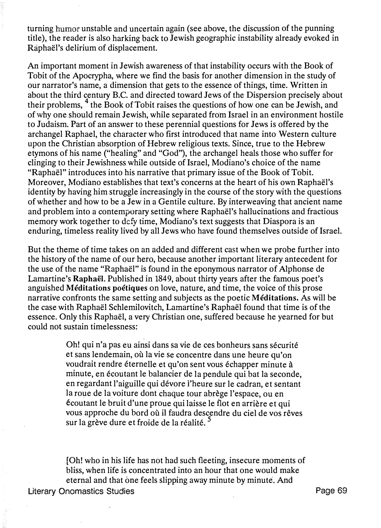turning humor unstable and uncertain again (see above, the discussion of the punning title), the reader is also harking back to Jewish geographic instability already evoked in Raphael's delirium of displacement.

An important moment in Jewish awareness of that instability occurs with the Book of Tobit of the Apocrypha, where we find the basis for another dimension in the study of our narrator's name, a dimension that gets to the essence of things, time. Written in about the third century B.C. and directed toward Jews of the Dispersion precisely about their problems, <sup>4</sup> the Book of Tobit raises the questions of how one can be Jewish, and of why one should remain Jewish, while separated from Israel in an environment hostile to Judaism. Part of an answer to these perennial questions for Jews is offered by the archangel Raphael, the character who first introduced that name into Western culture upon the Christian absorption of Hebrew religious texts. Since, true to the Hebrew etymons of his name ("healing" and "God"), the archangel heals those who suffer for clinging to their Jewishness while outside of Israel, Modiano's choice of the name "Raphael" introduces into his narrative that primary issue of the Book of Tobit. Moreover, Modiano establishes that text's concerns at the heart of his own Raphaël's identity by having him struggle increasingly in the course of the story with the questions of whether and how to be a Jew in a Gentile culture. By interweaving that ancient name and problem into a contemporary setting where Raphael's hallucinations and fractious memory work together to defy time, Modiano's text suggests that Diaspora is an enduring, timeless reality lived by all Jews who have found themselves outside of Israel.

But the theme of time takes on an added and different cast when we probe further into the history of the name of our hero, because another important literary antecedent for the use of the name "Raphael" is found in the eponymous narrator of Alphonse de Lamartine's Raphaël. Published in 1849, about thirty years after the famous poet's anguished Méditations poétiques on love, nature, and time, the voice of this prose narrative confronts the same setting and subjects as the poetic Meditations. As will be the case with Raphael Schlemilovitch, Lamartine's Raphael found that time is of the essence. Only this Raphael, a very Christian one, suffered because he yearned for but could not sustain timelessness:

> Oh! qui n'a pas eu ainsi dans sa vie de ces bonheurs sans sécurité et sans lendemain, où la vie se concentre dans une heure qu'on voudrait rendre éternelle et qu'on sent vous échapper minute à minute, en écoutant le balancier de la pendule qui bat la seconde, en regardant l'aiguille qui devore l'heure sur le cadran, et sentant la roue de la voiture dont chaque tour abrège l'espace, ou en ecoutant le bruit d'une proue qui laisse le flot en arriere et qui vous approche du bord où il faudra descendre du ciel de vos rêves sur la grève dure et froide de la réalité.<sup>5</sup>

[Oh! who in his life has not had such fleeting, insecure moments of bliss, when life is concentrated into an hour that one would make eternal and that one feels slipping away minute by minute. And

Literary Onomastics Studies **Page 69**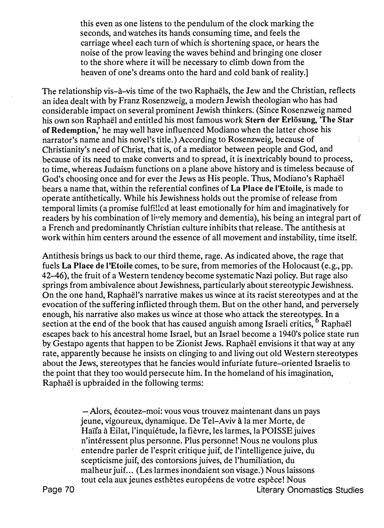this even as one listens to the pendulum of the clock marking the seconds, and watches its hands consuming time, and feels the carriage wheel each turn of which is shortening space, or hears the noise of the prow leaving the waves behind and bringing one closer to the shore where it will be necessary to climb down from the heaven of one's dreams onto the hard and cold bank of reality.]

The relationship vis-à-vis time of the two Raphaëls, the Jew and the Christian, reflects an idea dealt with by Franz Rosenzweig, a modern Jewish theologian who has had considerable impact on several prominent Jewish thinkers. (Since Rosenzweig named his own son Raphaël and entitled his most famous work Stern der Erlösung, 'The Star of Redemption,' he may well have influenced Modiano when the latter chose his narrator's name and his novel's title.) According to Rosenzweig, because of Christianity's need of Christ, that is, of a mediator between people and God, and because of its need to make converts and to spread, it is inextricably bound to process, to time, whereas Judaism functions on a plane above history and is timeless because of God's choosing once and for ever the Jews as His people. Thus, Modiano's Raphael bears a name that, within the referential confines of La Place de l'Etoile, is made to operate antithetically. While his Jewishness holds out the promise of release from temporal limits (a promise fulfilled at least emotionally for him and imaginatively for readers by his combination of lively memory and dementia), his being an integral part of a French and predominantly Christian culture inhibits that release. The antithesis at work within him centers around the essence of all movement and instability, time itself.

Antithesis brings us back to our third theme, rage. As indicated above, the rage that fuels La Place de l'Etoile comes, to be sure, from memories of the Holocaust (e.g., pp. 42-46), the fruit of a Western tendency become systematic Nazi policy. But rage also springs from ambivalence about Jewishness, particularly about stereotypic Jewishness. On the one hand, Raphael's narrative makes us wince at its racist stereotypes and at the evocation of the suffering inflicted through them. But on the other hand, and perversely enough, his narrative also makes us wince at those who attack the stereotypes. In <sup>a</sup> section at the end of the book that has caused anguish among Israeli critics,  $6$  Raphaël escapes back to his ancestral home Israel, but an Israel become a 1940's police state run by Gestapo agents that happen to be Zionist Jews. Raphael envisions it that way at any rate, apparently because he insists on clinging to and living out old Western stereotypes about the Jews, stereotypes that he fancies would infuriate future-oriented Israelis to the point that they too would persecute him. In the homeland of his imagination, Raphael is upbraided in the following terms:

> -Alors, écoutez-moi: vous vous trouvez maintenant dans un pays jeune, vigoureux, dynamique. De Tel-Aviv ala mer Morte, de Haïfa à Eilat, l'inquiétude, la fièvre, les larmes, la POISSE juives n'interessent plus personne. Plus personne! Nous ne voulons plus entendre parler de l'esprit critique juif, de l'intelligence juive, du scepticisme juif, des contorsions juives, de l'humiliation, du malheur juif... (Les larmes inondaient son visage.) Nous laissons tout cela aux jeunes esthètes européens de votre espèce! Nous

Page 70 Literary Onomastics Studies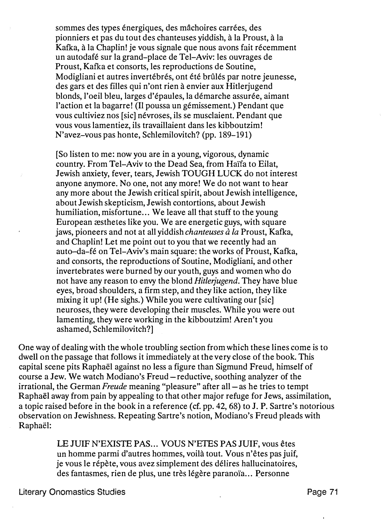sommes des types énergiques, des mâchoires carrées, des pionniers et pas du tout des chanteuses viddish, à la Proust, à la Kafka, à la Chaplin! je vous signale que nous avons fait récemment un autodafe sur la grand-place de Tel-Aviv: les ouvrages de Proust, Kafka et consorts, les reproductions de Soutine, Modigliani et autres invertébrés, ont été brûlés par notre jeunesse, des gars et des filles qui n'ont rien a envier aux Hitlerjugend blonds, l'oeil bleu, larges d'epaules, la demarche assuree, aimant l'action et la bagarre! (Il poussa un gémissement.) Pendant que vous cultiviez nos [sic] névroses, ils se musclaient. Pendant que vous vous lamentiez, ils travaillaient dans les kibboutzim! N'avez-vous pas honte, Schlemilovitch? (pp. 189-191)

[So listen to me: now you are in a young, vigorous, dynamic country. From Tel-Aviv to the Dead Sea, from Haïfa to Eilat, Jewish anxiety, fever, tears, Jewish TOUGH LUCK, do not interest anyone anymore. No one, not any more! We do not want to hear any more about the Jewish critical spirit, about Jewish intelligence, about Jewish skepticism, Jewish contortions, about Jewish humiliation, misfortune... We leave all that stuff to the young European  $\mathcal E$  as the test like you. We are energetic guys, with square jaws, pioneers and not at all yiddish *chanteuses à la* Proust, Kafka, and Chaplin! Let me point out to you that we recently had an auto-da-fe on Tel-Aviv's main square: the works of Proust, Kafka, and consorts, the reproductions of Soutine, Modigliani, and other invertebrates were burned by our youth, guys and women who do not have any reason to envy the blond *Hitlerjugend*. They have blue eyes, broad shoulders, a firm step, and they like action, they like mixing it up! (He sighs.) While you were cultivating our [sic] neuroses, they were developing their muscles. While you were out lamenting, they were working in the kibboutzim! Aren't you ashamed, Schlemilovitch?]

One way of dealing with the whole troubling section from which these lines come is to dwell on the passage that follows it immediately at the very close of the book. This capital scene pits Raphael against no less a figure than Sigmund Freud, himself of course a Jew. We watch Modiano's Freud-reductive, soothing analyzer of the irrational, the German Freude meaning "pleasure" after all-as he tries to tempt Raphael away from pain by appealing to that other major refuge for Jews, assimilation, a topic raised before in the book in a reference (cf. pp. 42, 68) to J. P. Sartre's notorious observation on Jewishness. Repeating Sartre's notion, Modiano's Freud pleads with Raphaël:

> LE JUIF N'EXISTE PAS... VOUS N'ETES PAS JUIF, vous êtes un homme parmi d'autres hommes, voila tout. Vous n'etes pas juif, je vous le repete, vous avez simplement des delires hallucinatoires, des fantasmes, rien de plus, une très légère paranoïa... Personne

Literary Onomastics Studies **Page 71 Contract Contract Contract Contract Contract Contract Contract Contract Contract Contract Contract Contract Contract Contract Contract Contract Contract Contract Contract Contract Con**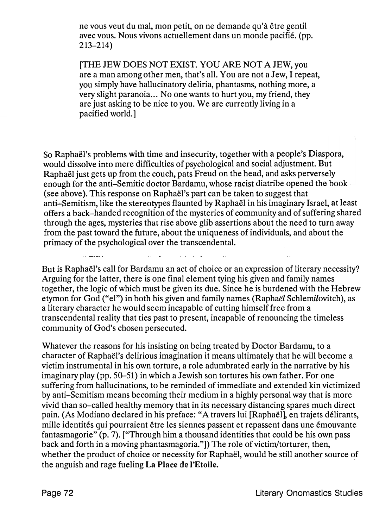ne vous veut du mal, mon petit, on ne demande qu'a etre gentil avec vous. Nous vivons actuellement dans un monde pacifie. (pp. 213-214)

[THE JEW DOES NOT EXIST. YOU ARE NOT A JEW, you are a man among other men, that's all. You are not a Jew, I repeat, you simply have hallucinatory deliria, phantasms, nothing more, a very slight paranoia ... No one wants to hurt you, my friend, they are just asking to be nice to you. We are currently living in a pacified world.]

So Raphael's problems with time and insecurity, together with a people's Diaspora, would dissolve into mere difficulties of psychological and social adjustment. But Raphael just gets up from the couch, pats Freud on the head, and asks perversely enough for the anti-Semitic doctor Bardamu, whose racist diatribe opened the book (see above). This response on Raphael's part can be taken to suggest that anti-Semitism, like the stereotypes flaunted by Raphaël in his imaginary Israel, at least offers a back-handed recognition of the mysteries of community and of suffering shared through the ages, mysteries that rise above glib assertions about the need to turn away from the past toward the future, about the uniqueness of individuals, and about the primacy of the psychological over the transcendental.

But is Raphaël's call for Bardamu an act of choice or an expression of literary necessity? Arguing for the latter, there is one final element tying his given and family names together, the logic of which must be given its due. Since he is burdened with the Hebrew etymon for God ("el") in both his given and family names (Raphaël Schlemilovitch), as a literary character he would seem incapable of cutting himself free from a transcendental reality that ties past to present, incapable of renouncing the timeless community of God's chosen persecuted.

Whatever the reasons for his insisting on being treated by Doctor Bardamu, to a character of Raphael's delirious imagination it means ultimately that he will become a victim instrumental in his own torture, a role adumbrated early in the narrative by his imaginary play (pp. 50-51) in which a Jewish son tortures his own father. For one suffering from hallucinations, to be reminded of immediate and extended kin victimized by anti-Semitism means becoming their medium in a highly personal way that is more vivid than so-called healthy memory that in its necessary distancing spares much direct pain. {As Modiano declared in his preface: "A travers lui [Raphael], en trajets delirants, mille identités qui pourraient être les siennes passent et repassent dans une émouvante fantasmagorie" (p. 7). ["Through him a thousand identities that could be his own pass back and forth in a moving phantasmagoria."]) The role of victim/torturer, then, whether the product of choice or necessity for Raphaël, would be still another source of the anguish and rage fueling La Place de l'Etoile.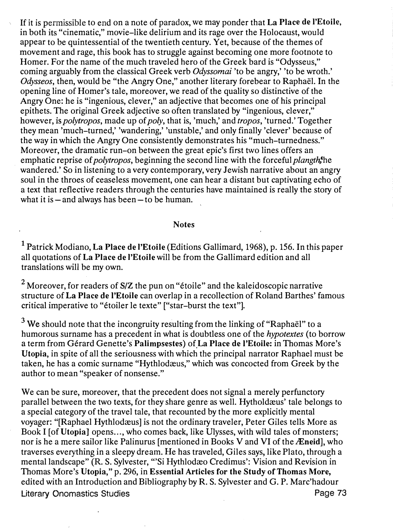If it is permissible to end on a note of paradox, we may ponder that La Place de l'Etoile, in both its "cinematic," movie-like delirium and its rage over the Holocaust, would appear to be quintessential of the twentieth century. Yet, because of the themes of movement and rage, this book has to struggle against becoming one more footnote to Homer. For the name of the much traveled hero of the Greek bard is "Odysseus," coming arguably from the classical Greek verb *Odyssomai* 'to be angry,' 'to be wroth.' Odysseos, then, would be "the Angry One," another literary forebear to Raphael. In the opening line of Homer's tale, moreover, we read of the quality so distinctive of the Angry One: he is "ingenious, clever," an adjective that becomes one of his principal epithets. The original Greek adjective so often translated by "ingenious, clever," however, is *polytropos*, made up of *poly*, that is, 'much,' and *tropos*, 'turned.' Together they mean 'much-turned,' 'wandering,' 'unstable,' and only finally 'clever' because of the way in which the Angry One consistently demonstrates his "much-turnedness." Moreover, the dramatic run-on between the great epic's first two lines offers an emphatic reprise of *polytropos*, beginning the second line with the forceful *plangth*<sup>the</sup> wandered.' So in listening to a very contemporary, very Jewish narrative about an angry soul in the throes of ceaseless movement, one can hear a distant but captivating echo of a text that reflective readers through the centuries have maintained is really the story of what it is  $-\text{and always has been } -\text{to be human.}$ 

## Notes

1 Patrick Modiano, La Place de l'Etoile (Editions Gallimard, 1968), p. 156. In this paper all quotations of La Place de l'Etoile will be from the Gallimard edition and all translations will be my own.

<sup>2</sup> Moreover, for readers of S/Z the pun on "étoile" and the kaleidoscopic narrative structure of La Place de I'Etoile can overlap in a recollection of Roland Barthes' famous critical imperative to "etoiler le texte" ["star-burst the text"].

 $3$  We should note that the incongruity resulting from the linking of "Raphaël" to a humorous surname has a precedent in what is doubtless one of the *hypotextes* (to borrow <sup>a</sup>term from Gerard Genette's' Palimpsestes) of La Place de !'Etoile: in Thomas More's Utopia, in spite of all the seriousness with which the principal narrator Raphael must be taken, he has a comic surname "Hythlodæus," which was concocted from Greek by the author to mean "speaker of nonsense."

We can be sure, moreover, that the precedent does not signal a merely perfunctory parallel between the two texts, for they share genre as well. Hythold as 'tale belongs to a special category of the travel tale, that recounted by the more explicitly mental voyager: "[Raphael Hythlodæus] is not the ordinary traveler, Peter Giles tells More as Book I [of Utopia] opens..., who comes back, like Ulysses, with wild tales of monsters; nor is he a mere sailor like Palinurus [mentioned in Books V and VI of the  $\overline{A}$  Eneid], who traverses everything in a sleepy dream. He has traveled, Giles says, like Plato, through a mental landscape" (R. S. Sylvester, "'Si Hythlodæo Credimus': Vision and Revision in Thomas More's Utopia," p. 296, in Essential Articles for the Study of Thomas More, edited with an Introduction and Bibliography by R. S. Sylvester and G. P. Marc'hadour Literary Onomastics Studies **Page 73**